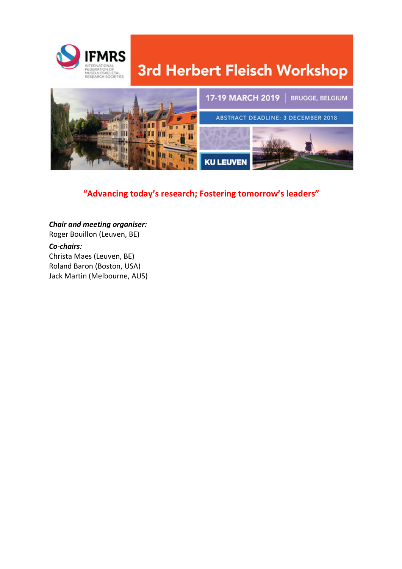

# 3rd Herbert Fleisch Workshop



#### **"Advancing today's research; Fostering tomorrow's leaders"**

*Chair and meeting organiser:* Roger Bouillon (Leuven, BE) *Co-chairs:*  Christa Maes (Leuven, BE) Roland Baron (Boston, USA) Jack Martin (Melbourne, AUS)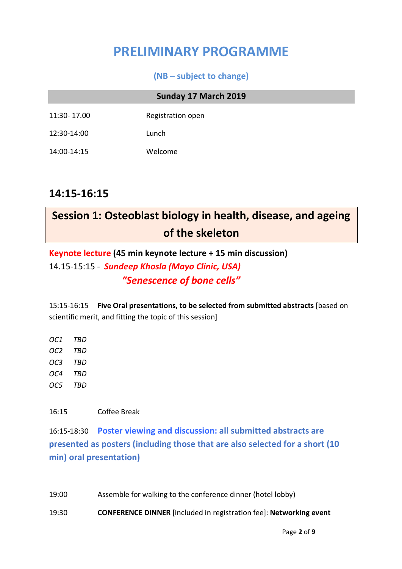## **PRELIMINARY PROGRAMME**

#### **(NB – subject to change)**

#### **Sunday 17 March 2019**

11:30- 17.00 Registration open

- 12:30-14:00 Lunch
- 14:00-14:15 Welcome

## **14:15-16:15**

## **Session 1: Osteoblast biology in health, disease, and ageing of the skeleton**

**Keynote lecture (45 min keynote lecture + 15 min discussion)** 14.15-15:15 - *Sundeep Khosla (Mayo Clinic, USA) "Senescence of bone cells"*

15:15-16:15 **Five Oral presentations, to be selected from submitted abstracts** [based on scientific merit, and fitting the topic of this session]

*OC1 TBD OC2 TBD OC3 TBD OC4 TBD OC5 TBD*

16:15 Coffee Break

16:15-18:30 **Poster viewing and discussion: all submitted abstracts are presented as posters (including those that are also selected for a short (10 min) oral presentation)**

19:00 Assemble for walking to the conference dinner (hotel lobby)

19:30 **CONFERENCE DINNER** [included in registration fee]: **Networking event**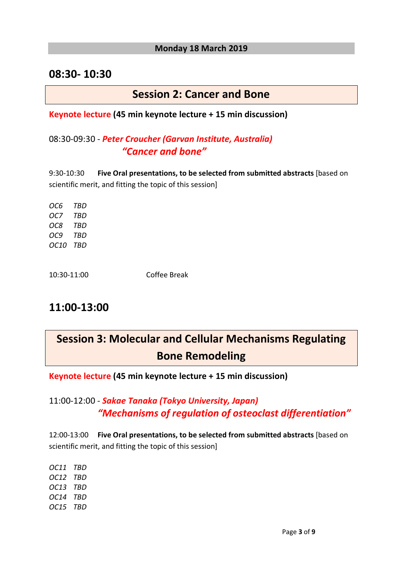#### **Monday 18 March 2019**

#### **08:30- 10:30**

#### **Session 2: Cancer and Bone**

#### **Keynote lecture (45 min keynote lecture + 15 min discussion)**

#### 08:30-09:30 - *Peter Croucher (Garvan Institute, Australia) "Cancer and bone"*

9:30-10:30 **Five Oral presentations, to be selected from submitted abstracts** [based on scientific merit, and fitting the topic of this session]

*OC6 TBD OC7 TBD OC8 TBD OC9 TBD OC10 TBD*

10:30-11:00 Coffee Break

## **11:00-13:00**

## **Session 3: Molecular and Cellular Mechanisms Regulating Bone Remodeling**

**Keynote lecture (45 min keynote lecture + 15 min discussion)**

#### 11:00-12:00 - *Sakae Tanaka (Tokyo University, Japan) "Mechanisms of regulation of osteoclast differentiation"*

12:00-13:00 **Five Oral presentations, to be selected from submitted abstracts** [based on scientific merit, and fitting the topic of this session]

*OC11 TBD OC12 TBD OC13 TBD OC14 TBD OC15 TBD*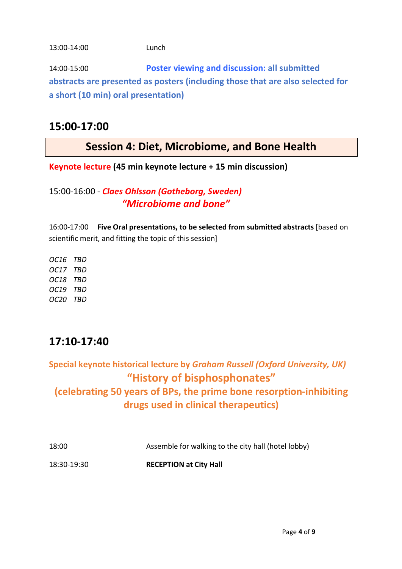#### 13:00-14:00 Lunch

14:00-15:00 **Poster viewing and discussion: all submitted abstracts are presented as posters (including those that are also selected for a short (10 min) oral presentation)**

### **15:00-17:00**

## **Session 4: Diet, Microbiome, and Bone Health**

**Keynote lecture (45 min keynote lecture + 15 min discussion)**

#### 15:00-16:00 - *Claes Ohlsson (Gotheborg, Sweden) "Microbiome and bone"*

16:00-17:00 **Five Oral presentations, to be selected from submitted abstracts** [based on scientific merit, and fitting the topic of this session]

*OC16 TBD OC17 TBD OC18 TBD OC19 TBD OC20 TBD*

## **17:10-17:40**

**Special keynote historical lecture by** *Graham Russell (Oxford University, UK)* **"History of bisphosphonates" (celebrating 50 years of BPs, the prime bone resorption-inhibiting drugs used in clinical therapeutics)** 

| 18:00       | Assemble for walking to the city hall (hotel lobby) |
|-------------|-----------------------------------------------------|
| 18:30-19:30 | <b>RECEPTION at City Hall</b>                       |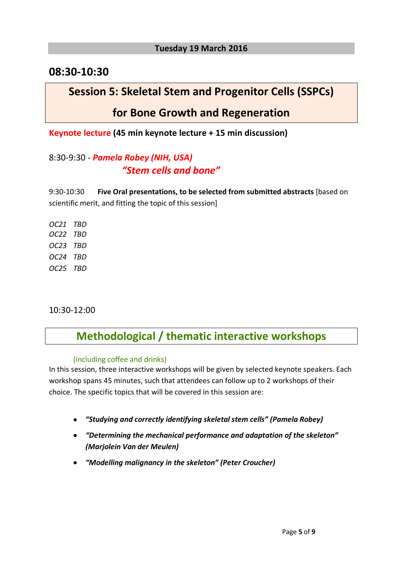#### **Tuesday 19 March 2016**

#### **08:30-10:30**

## **Session 5: Skeletal Stem and Progenitor Cells (SSPCs)**

### **for Bone Growth and Regeneration**

**Keynote lecture (45 min keynote lecture + 15 min discussion)**

#### 8:30-9:30 - *Pamela Robey (NIH, USA) "Stem cells and bone"*

9:30-10:30 **Five Oral presentations, to be selected from submitted abstracts** [based on scientific merit, and fitting the topic of this session]

*OC21 TBD OC22 TBD OC23 TBD OC24 TBD OC25 TBD*

10:30-12:00

## **Methodological / thematic interactive workshops**

#### (including coffee and drinks)

In this session, three interactive workshops will be given by selected keynote speakers. Each workshop spans 45 minutes, such that attendees can follow up to 2 workshops of their choice. The specific topics that will be covered in this session are:

- *"Studying and correctly identifying skeletal stem cells" (Pamela Robey)*
- *"Determining the mechanical performance and adaptation of the skeleton" (Marjolein Van der Meulen)*
- *"Modelling malignancy in the skeleton" (Peter Croucher)*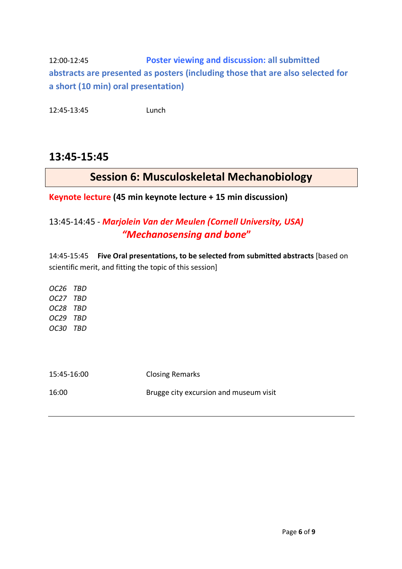12:00-12:45 **Poster viewing and discussion: all submitted abstracts are presented as posters (including those that are also selected for a short (10 min) oral presentation)**

12:45-13:45 Lunch

### **13:45-15:45**

## **Session 6: Musculoskeletal Mechanobiology**

**Keynote lecture (45 min keynote lecture + 15 min discussion)**

#### 13:45-14:45 - *Marjolein Van der Meulen (Cornell University, USA) "Mechanosensing and bone***"**

14:45-15:45 **Five Oral presentations, to be selected from submitted abstracts** [based on scientific merit, and fitting the topic of this session]

*OC26 TBD OC27 TBD OC28 TBD OC29 TBD OC30 TBD*

| 15:45-16:00 | <b>Closing Remarks</b>                 |
|-------------|----------------------------------------|
| 16:00       | Brugge city excursion and museum visit |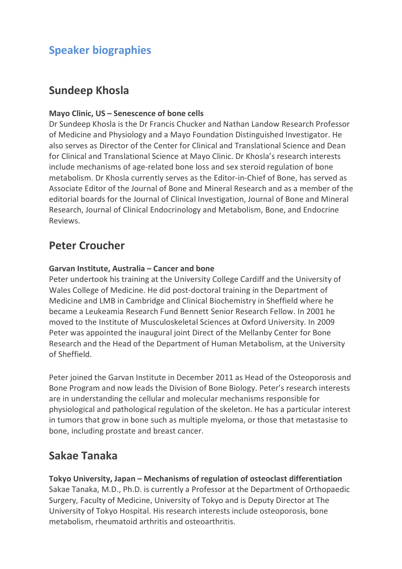## **Speaker biographies**

## **Sundeep Khosla**

#### **Mayo Clinic, US – Senescence of bone cells**

Dr Sundeep Khosla is the Dr Francis Chucker and Nathan Landow Research Professor of Medicine and Physiology and a Mayo Foundation Distinguished Investigator. He also serves as Director of the Center for Clinical and Translational Science and Dean for Clinical and Translational Science at Mayo Clinic. Dr Khosla's research interests include mechanisms of age-related bone loss and sex steroid regulation of bone metabolism. Dr Khosla currently serves as the Editor-in-Chief of Bone, has served as Associate Editor of the Journal of Bone and Mineral Research and as a member of the editorial boards for the Journal of Clinical Investigation, Journal of Bone and Mineral Research, Journal of Clinical Endocrinology and Metabolism, Bone, and Endocrine Reviews.

## **Peter Croucher**

#### **Garvan Institute, Australia – Cancer and bone**

Peter undertook his training at the University College Cardiff and the University of Wales College of Medicine. He did post-doctoral training in the Department of Medicine and LMB in Cambridge and Clinical Biochemistry in Sheffield where he became a Leukeamia Research Fund Bennett Senior Research Fellow. In 2001 he moved to the Institute of Musculoskeletal Sciences at Oxford University. In 2009 Peter was appointed the inaugural joint Direct of the Mellanby Center for Bone Research and the Head of the Department of Human Metabolism, at the University of Sheffield.

Peter joined the Garvan Institute in December 2011 as Head of the Osteoporosis and Bone Program and now leads the Division of Bone Biology. Peter's research interests are in understanding the cellular and molecular mechanisms responsible for physiological and pathological regulation of the skeleton. He has a particular interest in tumors that grow in bone such as multiple myeloma, or those that metastasise to bone, including prostate and breast cancer.

## **Sakae Tanaka**

**Tokyo University, Japan – Mechanisms of regulation of osteoclast differentiation** Sakae Tanaka, M.D., Ph.D. is currently a Professor at the Department of Orthopaedic Surgery, Faculty of Medicine, University of Tokyo and is Deputy Director at The University of Tokyo Hospital. His research interests include osteoporosis, bone metabolism, rheumatoid arthritis and osteoarthritis.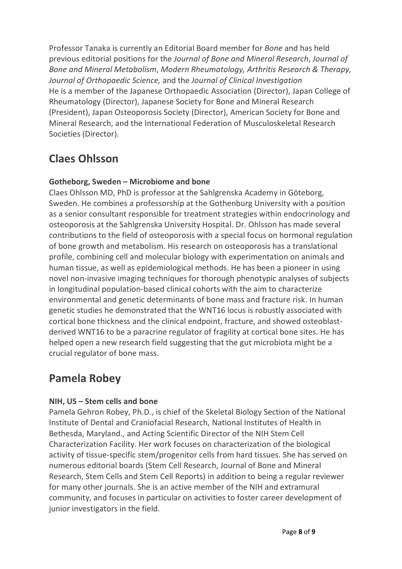Professor Tanaka is currently an Editorial Board member for *Bone* and has held previous editorial positions for the *Journal of Bone and Mineral Research*, *Journal of Bone and Mineral Metabolism*, *Modern Rheumatology, Arthritis Research & Therapy, Journal of Orthopaedic Science,* and the *Journal of Clinical Investigation* He is a member of the Japanese Orthopaedic Association (Director), Japan College of Rheumatology (Director), Japanese Society for Bone and Mineral Research (President), Japan Osteoporosis Society (Director), American Society for Bone and Mineral Research, and the International Federation of Musculoskeletal Research Societies (Director).

## **Claes Ohlsson**

#### **Gotheborg, Sweden – Microbiome and bone**

Claes Ohlsson MD, PhD is professor at the Sahlgrenska Academy in Göteborg, Sweden. He combines a professorship at the Gothenburg University with a position as a senior consultant responsible for treatment strategies within endocrinology and osteoporosis at the Sahlgrenska University Hospital. Dr. Ohlsson has made several contributions to the field of osteoporosis with a special focus on hormonal regulation of bone growth and metabolism. His research on osteoporosis has a translational profile, combining cell and molecular biology with experimentation on animals and human tissue, as well as epidemiological methods. He has been a pioneer in using novel non-invasive imaging techniques for thorough phenotypic analyses of subjects in longitudinal population-based clinical cohorts with the aim to characterize environmental and genetic determinants of bone mass and fracture risk. In human genetic studies he demonstrated that the WNT16 locus is robustly associated with cortical bone thickness and the clinical endpoint, fracture, and showed osteoblastderived WNT16 to be a paracrine regulator of fragility at cortical bone sites. He has helped open a new research field suggesting that the gut microbiota might be a crucial regulator of bone mass.

## **Pamela Robey**

#### **NIH, US – Stem cells and bone**

Pamela Gehron Robey, Ph.D., is chief of the Skeletal Biology Section of the National Institute of Dental and Craniofacial Research, National Institutes of Health in Bethesda, Maryland., and Acting Scientific Director of the NIH Stem Cell Characterization Facility. Her work focuses on characterization of the biological activity of tissue-specific stem/progenitor cells from hard tissues. She has served on numerous editorial boards (Stem Cell Research, Journal of Bone and Mineral Research, Stem Cells and Stem Cell Reports) in addition to being a regular reviewer for many other journals. She is an active member of the NIH and extramural community, and focuses in particular on activities to foster career development of junior investigators in the field.